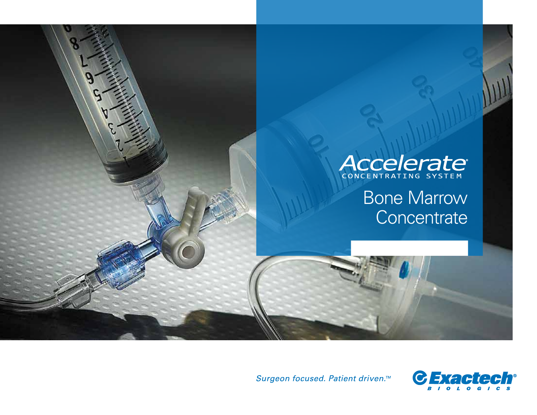

Surgeon focused. Patient driven.™

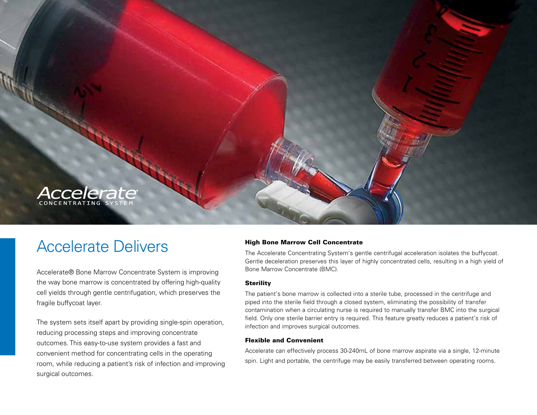

### Accelerate Delivers

Accelerate® Bone Marrow Concentrate System is improving the way bone marrow is concentrated by offering high-quality cell yields through gentle centrifugation, which preserves the fragile buffycoat layer.

The system sets itself apart by providing single-spin operation, reducing processing steps and improving concentrate outcomes. This easy-to-use system provides a fast and convenient method for concentrating cells in the operating room, while reducing a patient's risk of infection and improving surgical outcomes.

#### High Bone Marrow Cell Concentrate

The Accelerate Concentrating System's gentle centrifugal acceleration isolates the buffycoat. Gentle deceleration preserves this layer of highly concentrated cells, resulting in a high yield of Bone Marrow Concentrate (BMC).

#### **Sterility**

The patient's bone marrow is collected into a sterile tube, processed in the centrifuge and piped into the sterile field through a closed system, eliminating the possibility of transfer contamination when a circulating nurse is required to manually transfer BMC into the surgical field. Only one sterile barrier entry is required. This feature greatly reduces a patient's risk of infection and improves surgical outcomes.

#### Flexible and Convenient

Accelerate can effectively process 30-240mL of bone marrow aspirate via a single, 12-minute spin. Light and portable, the centrifuge may be easily transferred between operating rooms.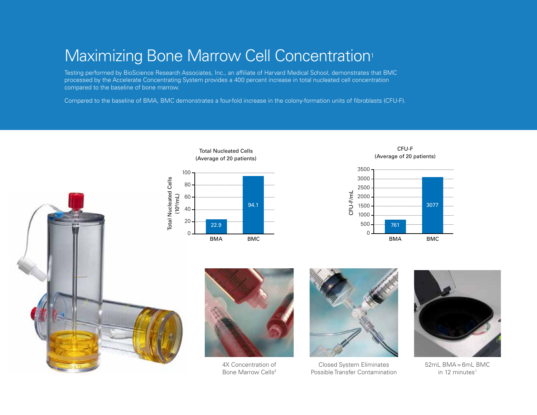# Maximizing Bone Marrow Cell Concentration<sup>1</sup>

Testing performed by BioScience Research Associates, Inc., an affiliate of Harvard Medical School, demonstrates that BMC processed by the Accelerate Concentrating System provides a 400 percent increase in total nucleated cell concentration compared to the baseline of bone marrow.

Compared to the baseline of BMA, BMC demonstrates a four-fold increase in the colony-formation units of fibroblasts (CFU-F).

Total Nucleated Cells











4X Concentration of Bone Marrow Cells<sup>2</sup>



Closed System Eliminates Possible Transfer Contamination



 $52mL$  BMA =  $6mL$  BMC in 12 minutes<sup>1</sup>